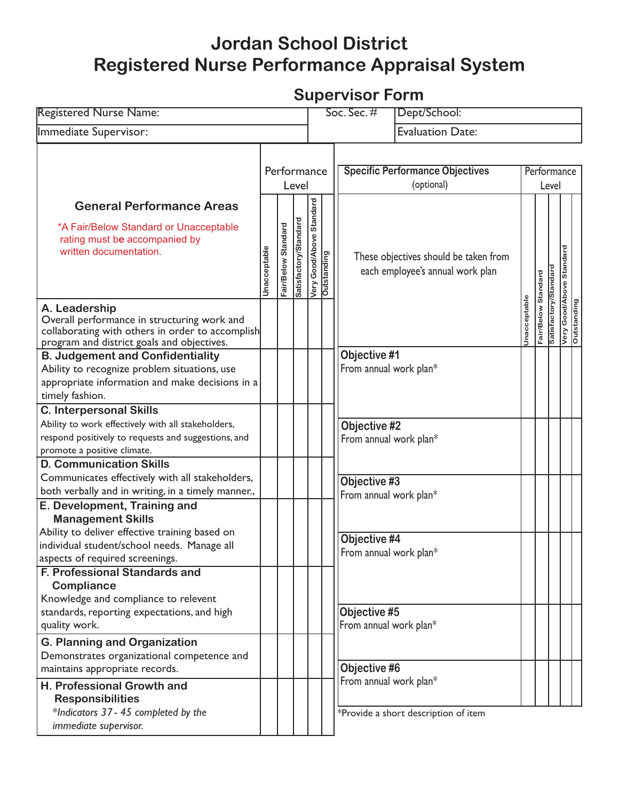## **Jordan School District Registered Nurse Performance Appraisal System**

## **Supervisor Form**

| <b>Registered Nurse Name:</b>                                                                                                                                              |                     |                     |                       |                                                    | $Soc.$ Sec. $#$<br>Dept/School:                                                                  |
|----------------------------------------------------------------------------------------------------------------------------------------------------------------------------|---------------------|---------------------|-----------------------|----------------------------------------------------|--------------------------------------------------------------------------------------------------|
| Immediate Supervisor:                                                                                                                                                      |                     |                     |                       |                                                    | <b>Evaluation Date:</b>                                                                          |
|                                                                                                                                                                            |                     | Performance         | Level                 |                                                    | <b>Specific Performance Objectives</b><br>Performance<br>(optional)<br>Level                     |
| <b>General Performance Areas</b><br>*A Fair/Below Standard or Unacceptable<br>rating must be accompanied by<br>written documentation.                                      | <b>Unacceptable</b> | Fair/Below Standard | Satisfactory/Standard | Good/Above Standard<br>Very Good/Ab<br>Outstanding | Good/Above Standard<br>These objectives should be taken from<br>each employee's annual work plan |
| A. Leadership<br>Overall performance in structuring work and<br>collaborating with others in order to accomplish<br>program and district goals and objectives.             |                     |                     |                       |                                                    | Satisfactory/Standard<br>Fair/Below Standard<br>Jnacceptable<br>Very Good/Ab<br>Outstanding      |
| <b>B. Judgement and Confidentiality</b><br>Ability to recognize problem situations, use<br>appropriate information and make decisions in a<br>timely fashion.              |                     |                     |                       |                                                    | Objective #1<br>From annual work plan*                                                           |
| <b>C. Interpersonal Skills</b><br>Ability to work effectively with all stakeholders,<br>respond positively to requests and suggestions, and<br>promote a positive climate. |                     |                     |                       |                                                    | Objective #2<br>From annual work plan*                                                           |
| <b>D. Communication Skills</b><br>Communicates effectively with all stakeholders,<br>both verbally and in writing, in a timely manner.,<br>E. Development, Training and    |                     |                     |                       |                                                    | Objective #3<br>From annual work plan*                                                           |
| <b>Management Skills</b><br>Ability to deliver effective training based on<br>individual student/school needs. Manage all<br>aspects of required screenings.               |                     |                     |                       |                                                    | Objective #4<br>From annual work plan*                                                           |
| <b>F. Professional Standards and</b><br><b>Compliance</b><br>Knowledge and compliance to relevent<br>standards, reporting expectations, and high<br>quality work.          |                     |                     |                       |                                                    | Objective #5<br>From annual work plan*                                                           |
| <b>G. Planning and Organization</b><br>Demonstrates organizational competence and<br>maintains appropriate records.                                                        |                     |                     |                       |                                                    | Objective #6                                                                                     |
| H. Professional Growth and<br><b>Responsibilities</b><br>*Indicators 37 - 45 completed by the<br>immediate supervisor.                                                     |                     |                     |                       |                                                    | From annual work plan*<br>*Provide a short description of item                                   |